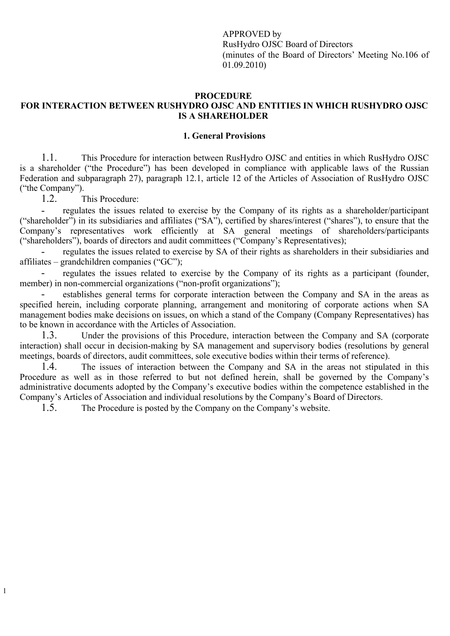APPROVED by RusHydro OJSC Board of Directors (minutes of the Board of Directors' Meeting No.106 of 01.09.2010)

#### **PROCEDURE FOR INTERACTION BETWEEN RUSHYDRO OJSC AND ENTITIES IN WHICH RUSHYDRO OJSC IS A SHAREHOLDER**

#### **1. General Provisions**

1.1. This Procedure for interaction between RusHydro OJSC and entities in which RusHydro OJSC is a shareholder ("the Procedure") has been developed in compliance with applicable laws of the Russian Federation and subparagraph 27), paragraph 12.1, article 12 of the Articles of Association of RusHydro OJSC ("the Company").

1.2. This Procedure:

1

regulates the issues related to exercise by the Company of its rights as a shareholder/participant ("shareholder") in its subsidiaries and affiliates ("SA"), certified by shares/interest ("shares"), to ensure that the Company's representatives work efficiently at SA general meetings of shareholders/participants ("shareholders"), boards of directors and audit committees ("Company's Representatives);

regulates the issues related to exercise by SA of their rights as shareholders in their subsidiaries and affiliates – grandchildren companies ("GC");

regulates the issues related to exercise by the Company of its rights as a participant (founder, member) in non-commercial organizations ("non-profit organizations");

- establishes general terms for corporate interaction between the Company and SA in the areas as specified herein, including corporate planning, arrangement and monitoring of corporate actions when SA management bodies make decisions on issues, on which a stand of the Company (Company Representatives) has to be known in accordance with the Articles of Association.

1.3. Under the provisions of this Procedure, interaction between the Company and SA (corporate interaction) shall occur in decision-making by SA management and supervisory bodies (resolutions by general meetings, boards of directors, audit committees, sole executive bodies within their terms of reference).

1.4. The issues of interaction between the Company and SA in the areas not stipulated in this Procedure as well as in those referred to but not defined herein, shall be governed by the Company's administrative documents adopted by the Company's executive bodies within the competence established in the Company's Articles of Association and individual resolutions by the Company's Board of Directors.

1.5. The Procedure is posted by the Company on the Company's website.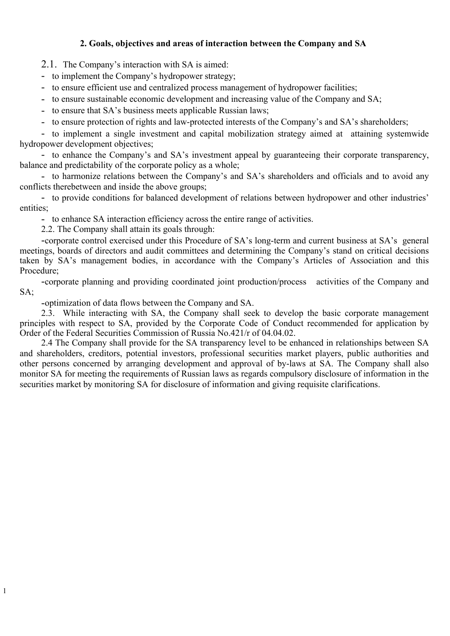# **2. Goals, objectives and areas of interaction between the Company and SA**

2.1. The Company's interaction with SA is aimed:

- to implement the Company's hydropower strategy;
- to ensure efficient use and centralized process management of hydropower facilities;
- to ensure sustainable economic development and increasing value of the Company and SA;
- to ensure that SA's business meets applicable Russian laws;
- to ensure protection of rights and law-protected interests of the Company's and SA's shareholders;

- to implement a single investment and capital mobilization strategy aimed at attaining systemwide hydropower development objectives;

- to enhance the Company's and SA's investment appeal by guaranteeing their corporate transparency, balance and predictability of the corporate policy as a whole;

- to harmonize relations between the Company's and SA's shareholders and officials and to avoid any conflicts therebetween and inside the above groups;

- to provide conditions for balanced development of relations between hydropower and other industries' entities;

- to enhance SA interaction efficiency across the entire range of activities.

2.2. The Company shall attain its goals through:

-corporate control exercised under this Procedure of SA's long-term and current business at SA's general meetings, boards of directors and audit committees and determining the Company's stand on critical decisions taken by SA's management bodies, in accordance with the Company's Articles of Association and this Procedure;

-corporate planning and providing coordinated joint production/process activities of the Company and SA;

-optimization of data flows between the Company and SA.

2.3. While interacting with SA, the Company shall seek to develop the basic corporate management principles with respect to SA, provided by the Corporate Code of Conduct recommended for application by Order of the Federal Securities Commission of Russia No.421/r of 04.04.02.

2.4 The Company shall provide for the SA transparency level to be enhanced in relationships between SA and shareholders, creditors, potential investors, professional securities market players, public authorities and other persons concerned by arranging development and approval of by-laws at SA. The Company shall also monitor SA for meeting the requirements of Russian laws as regards compulsory disclosure of information in the securities market by monitoring SA for disclosure of information and giving requisite clarifications.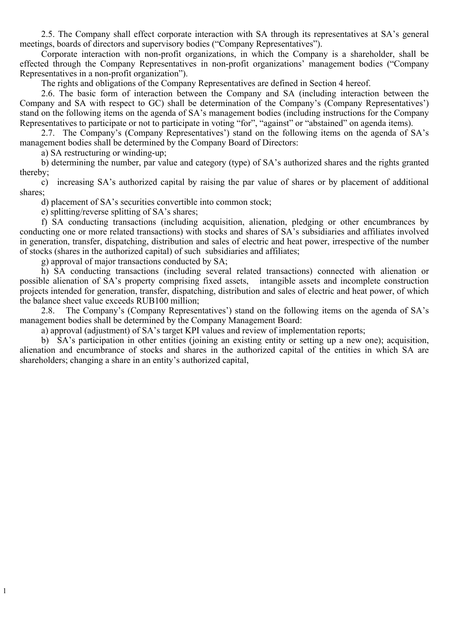2.5. The Company shall effect corporate interaction with SA through its representatives at SA's general meetings, boards of directors and supervisory bodies ("Company Representatives").

Corporate interaction with non-profit organizations, in which the Company is a shareholder, shall be effected through the Company Representatives in non-profit organizations' management bodies ("Company Representatives in a non-profit organization").

The rights and obligations of the Company Representatives are defined in Section 4 hereof.

2.6. The basic form of interaction between the Company and SA (including interaction between the Company and SA with respect to GC) shall be determination of the Company's (Company Representatives') stand on the following items on the agenda of SA's management bodies (including instructions for the Company Representatives to participate or not to participate in voting "for", "against" or "abstained" on agenda items).

2.7. The Company's (Company Representatives') stand on the following items on the agenda of SA's management bodies shall be determined by the Company Board of Directors:

а) SA restructuring or winding-up;

1

b) determining the number, par value and category (type) of SA's authorized shares and the rights granted thereby;

c) increasing SA's authorized capital by raising the par value of shares or by placement of additional shares;

d) placement of SA's securities convertible into common stock;

e) splitting/reverse splitting of SA's shares;

f) SA conducting transactions (including acquisition, alienation, pledging or other encumbrances by conducting one or more related transactions) with stocks and shares of SA's subsidiaries and affiliates involved in generation, transfer, dispatching, distribution and sales of electric and heat power, irrespective of the number of stocks (shares in the authorized capital) of such subsidiaries and affiliates;

g) approval of major transactions conducted by SA;

h) SA conducting transactions (including several related transactions) connected with alienation or possible alienation of SA's property comprising fixed assets, intangible assets and incomplete construction projects intended for generation, transfer, dispatching, distribution and sales of electric and heat power, of which the balance sheet value exceeds RUB100 million;

2.8. The Company's (Company Representatives') stand on the following items on the agenda of SA's management bodies shall be determined by the Company Management Board:

а) approval (adjustment) of SA's target KPI values and review of implementation reports;

b) SA's participation in other entities (joining an existing entity or setting up a new one); acquisition, alienation and encumbrance of stocks and shares in the authorized capital of the entities in which SA are shareholders; changing a share in an entity's authorized capital,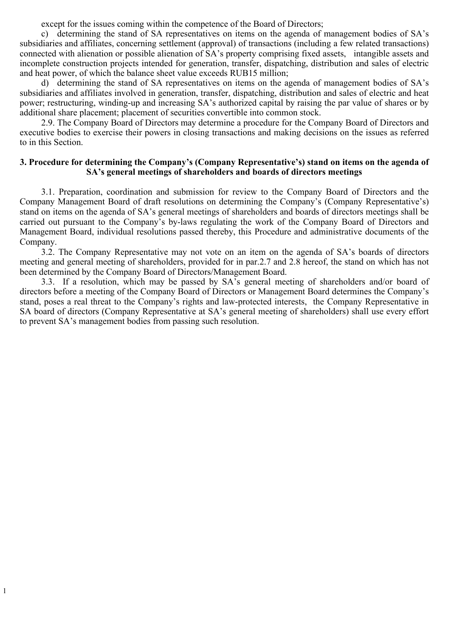except for the issues coming within the competence of the Board of Directors;

c) determining the stand of SA representatives on items on the agenda of management bodies of SA's subsidiaries and affiliates, concerning settlement (approval) of transactions (including a few related transactions) connected with alienation or possible alienation of SA's property comprising fixed assets, intangible assets and incomplete construction projects intended for generation, transfer, dispatching, distribution and sales of electric and heat power, of which the balance sheet value exceeds RUB15 million;

d) determining the stand of SA representatives on items on the agenda of management bodies of SA's subsidiaries and affiliates involved in generation, transfer, dispatching, distribution and sales of electric and heat power; restructuring, winding-up and increasing SA's authorized capital by raising the par value of shares or by additional share placement; placement of securities convertible into common stock.

2.9. The Company Board of Directors may determine a procedure for the Company Board of Directors and executive bodies to exercise their powers in closing transactions and making decisions on the issues as referred to in this Section.

## **3. Procedure for determining the Company's (Company Representative's) stand on items on the agenda of SA's general meetings of shareholders and boards of directors meetings**

3.1. Preparation, coordination and submission for review to the Company Board of Directors and the Company Management Board of draft resolutions on determining the Company's (Company Representative's) stand on items on the agenda of SA's general meetings of shareholders and boards of directors meetings shall be carried out pursuant to the Company's by-laws regulating the work of the Company Board of Directors and Management Board, individual resolutions passed thereby, this Procedure and administrative documents of the Company.

3.2. The Company Representative may not vote on an item on the agenda of SA's boards of directors meeting and general meeting of shareholders, provided for in par.2.7 and 2.8 hereof, the stand on which has not been determined by the Company Board of Directors/Management Board.

3.3. If a resolution, which may be passed by SA's general meeting of shareholders and/or board of directors before a meeting of the Company Board of Directors or Management Board determines the Company's stand, poses a real threat to the Company's rights and law-protected interests, the Company Representative in SA board of directors (Company Representative at SA's general meeting of shareholders) shall use every effort to prevent SA's management bodies from passing such resolution.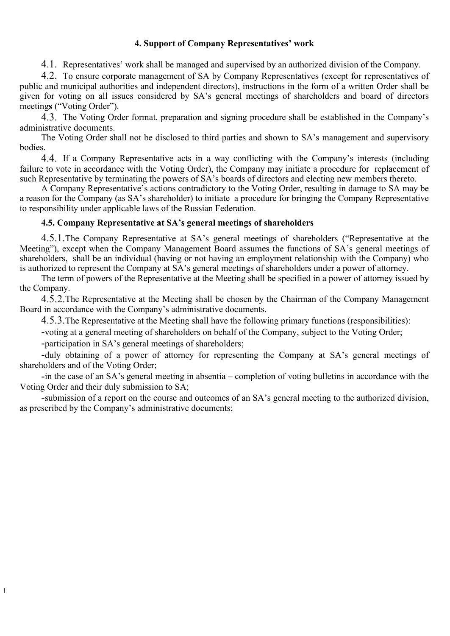## **4. Support of Company Representatives' work**

4.1. Representatives' work shall be managed and supervised by an authorized division of the Company.

4.2. To ensure corporate management of SA by Company Representatives (except for representatives of public and municipal authorities and independent directors), instructions in the form of a written Order shall be given for voting on all issues considered by SA's general meetings of shareholders and board of directors meeting**s** ("Voting Order").

4.3. The Voting Order format, preparation and signing procedure shall be established in the Company's administrative documents.

The Voting Order shall not be disclosed to third parties and shown to SA's management and supervisory bodies.

4.4. If a Company Representative acts in a way conflicting with the Company's interests (including failure to vote in accordance with the Voting Order), the Company may initiate a procedure for replacement of such Representative by terminating the powers of SA's boards of directors and electing new members thereto.

A Company Representative's actions contradictory to the Voting Order, resulting in damage to SA may be a reason for the Company (as SA's shareholder) to initiate a procedure for bringing the Company Representative to responsibility under applicable laws of the Russian Federation.

## **4.5. Company Representative at SA's general meetings of shareholders**

4.5.1.The Company Representative at SA's general meetings of shareholders ("Representative at the Meeting"), except when the Company Management Board assumes the functions of SA's general meetings of shareholders, shall be an individual (having or not having an employment relationship with the Company) who is authorized to represent the Company at SA's general meetings of shareholders under a power of attorney.

The term of powers of the Representative at the Meeting shall be specified in a power of attorney issued by the Company.

4.5.2.The Representative at the Meeting shall be chosen by the Chairman of the Company Management Board in accordance with the Company's administrative documents.

4.5.3.The Representative at the Meeting shall have the following primary functions (responsibilities):

-voting at a general meeting of shareholders on behalf of the Company, subject to the Voting Order;

-participation in SA's general meetings of shareholders;

1

-duly obtaining of a power of attorney for representing the Company at SA's general meetings of shareholders and of the Voting Order;

-in the case of an SA's general meeting in absentia – completion of voting bulletins in accordance with the Voting Order and their duly submission to SA;

-submission of a report on the course and outcomes of an SA's general meeting to the authorized division, as prescribed by the Company's administrative documents;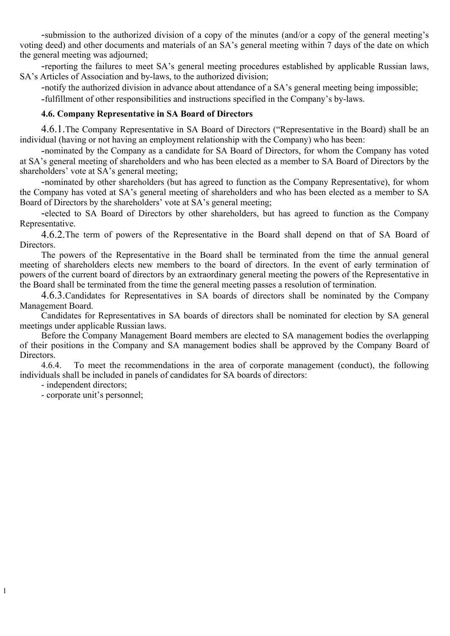-submission to the authorized division of a copy of the minutes (and/or a copy of the general meeting's voting deed) and other documents and materials of an SA's general meeting within 7 days of the date on which the general meeting was adjourned;

-reporting the failures to meet SA's general meeting procedures established by applicable Russian laws, SA's Articles of Association and by-laws, to the authorized division;

-notify the authorized division in advance about attendance of a SA's general meeting being impossible;

-fulfillment of other responsibilities and instructions specified in the Company's by-laws.

## **4.6. Company Representative in SA Board of Directors**

4.6.1.The Company Representative in SA Board of Directors ("Representative in the Board) shall be an individual (having or not having an employment relationship with the Company) who has been:

-nominated by the Company as a candidate for SA Board of Directors, for whom the Company has voted at SA's general meeting of shareholders and who has been elected as a member to SA Board of Directors by the shareholders' vote at SA's general meeting;

-nominated by other shareholders (but has agreed to function as the Company Representative), for whom the Company has voted at SA's general meeting of shareholders and who has been elected as a member to SA Board of Directors by the shareholders' vote at SA's general meeting;

-elected to SA Board of Directors by other shareholders, but has agreed to function as the Company Representative.

4.6.2.The term of powers of the Representative in the Board shall depend on that of SA Board of Directors.

The powers of the Representative in the Board shall be terminated from the time the annual general meeting of shareholders elects new members to the board of directors. In the event of early termination of powers of the current board of directors by an extraordinary general meeting the powers of the Representative in the Board shall be terminated from the time the general meeting passes a resolution of termination.

4.6.3.Candidates for Representatives in SA boards of directors shall be nominated by the Company Management Board.

Candidates for Representatives in SA boards of directors shall be nominated for election by SA general meetings under applicable Russian laws.

Before the Company Management Board members are elected to SA management bodies the overlapping of their positions in the Company and SA management bodies shall be approved by the Company Board of Directors.

4.6.4. To meet the recommendations in the area of corporate management (conduct), the following individuals shall be included in panels of candidates for SA boards of directors:

- independent directors;

1

- corporate unit's personnel;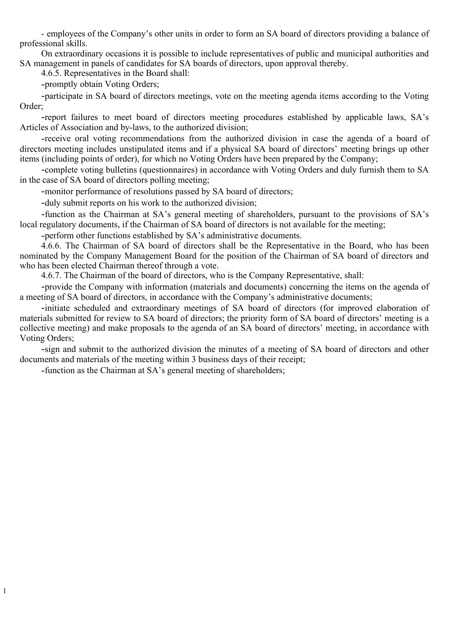- employees of the Company's other units in order to form an SA board of directors providing a balance of professional skills.

On extraordinary occasions it is possible to include representatives of public and municipal authorities and SA management in panels of candidates for SA boards of directors, upon approval thereby.

4.6.5. Representatives in the Board shall:

-promptly obtain Voting Orders;

-participate in SA board of directors meetings, vote on the meeting agenda items according to the Voting Order;

-report failures to meet board of directors meeting procedures established by applicable laws, SA's Articles of Association and by-laws, to the authorized division;

-receive oral voting recommendations from the authorized division in case the agenda of a board of directors meeting includes unstipulated items and if a physical SA board of directors' meeting brings up other items (including points of order), for which no Voting Orders have been prepared by the Company;

-complete voting bulletins (questionnaires) in accordance with Voting Orders and duly furnish them to SA in the case of SA board of directors polling meeting;

-monitor performance of resolutions passed by SA board of directors;

-duly submit reports on his work to the authorized division;

-function as the Chairman at SA's general meeting of shareholders, pursuant to the provisions of SA's local regulatory documents, if the Chairman of SA board of directors is not available for the meeting;

-perform other functions established by SA's administrative documents.

4.6.6. The Chairman of SA board of directors shall be the Representative in the Board, who has been nominated by the Company Management Board for the position of the Chairman of SA board of directors and who has been elected Chairman thereof through a vote.

4.6.7. The Chairman of the board of directors, who is the Company Representative, shall:

-provide the Company with information (materials and documents) concerning the items on the agenda of a meeting of SA board of directors, in accordance with the Company's administrative documents;

-initiate scheduled and extraordinary meetings of SA board of directors (for improved elaboration of materials submitted for review to SA board of directors; the priority form of SA board of directors' meeting is a collective meeting) and make proposals to the agenda of an SA board of directors' meeting, in accordance with Voting Orders;

-sign and submit to the authorized division the minutes of a meeting of SA board of directors and other documents and materials of the meeting within 3 business days of their receipt;

-function as the Chairman at SA's general meeting of shareholders;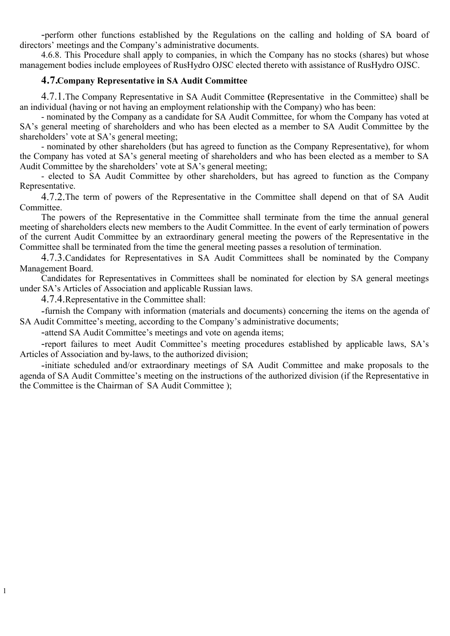-perform other functions established by the Regulations on the calling and holding of SA board of directors' meetings and the Company's administrative documents.

4.6.8. This Procedure shall apply to companies, in which the Company has no stocks (shares) but whose management bodies include employees of RusHydro OJSC elected thereto with assistance of RusHydro OJSC.

## **4.7.Company Representative in SA Audit Committee**

4.7.1.The Company Representative in SA Audit Committee **(**Representative in the Committee) shall be an individual (having or not having an employment relationship with the Company) who has been:

- nominated by the Company as a candidate for SA Audit Committee, for whom the Company has voted at SA's general meeting of shareholders and who has been elected as a member to SA Audit Committee by the shareholders' vote at SA's general meeting;

- nominated by other shareholders (but has agreed to function as the Company Representative), for whom the Company has voted at SA's general meeting of shareholders and who has been elected as a member to SA Audit Committee by the shareholders' vote at SA's general meeting;

- elected to SA Audit Committee by other shareholders, but has agreed to function as the Company Representative.

4.7.2.The term of powers of the Representative in the Committee shall depend on that of SA Audit Committee.

The powers of the Representative in the Committee shall terminate from the time the annual general meeting of shareholders elects new members to the Audit Committee. In the event of early termination of powers of the current Audit Committee by an extraordinary general meeting the powers of the Representative in the Committee shall be terminated from the time the general meeting passes a resolution of termination.

4.7.3.Candidates for Representatives in SA Audit Committees shall be nominated by the Company Management Board.

Candidates for Representatives in Committees shall be nominated for election by SA general meetings under SA's Articles of Association and applicable Russian laws.

4.7.4.Representative in the Committee shall:

1

-furnish the Company with information (materials and documents) concerning the items on the agenda of SA Audit Committee's meeting, according to the Company's administrative documents;

-attend SA Audit Committee's meetings and vote on agenda items;

-report failures to meet Audit Committee's meeting procedures established by applicable laws, SA's Articles of Association and by-laws, to the authorized division;

-initiate scheduled and/or extraordinary meetings of SA Audit Committee and make proposals to the agenda of SA Audit Committee's meeting on the instructions of the authorized division (if the Representative in the Committee is the Chairman of SA Audit Committee );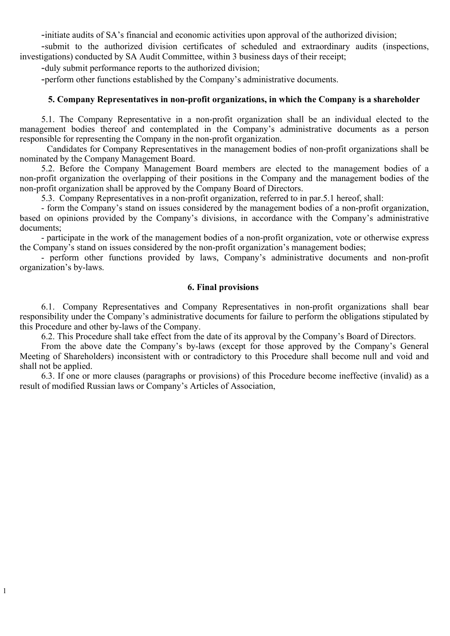-initiate audits of SA's financial and economic activities upon approval of the authorized division;

-submit to the authorized division certificates of scheduled and extraordinary audits (inspections, investigations) conducted by SA Audit Committee, within 3 business days of their receipt;

-duly submit performance reports to the authorized division;

1

-perform other functions established by the Company's administrative documents.

## **5. Company Representatives in non-profit organizations, in which the Company is a shareholder**

5.1. The Company Representative in a non-profit organization shall be an individual elected to the management bodies thereof and contemplated in the Company's administrative documents as a person responsible for representing the Company in the non-profit organization.

Candidates for Company Representatives in the management bodies of non-profit organizations shall be nominated by the Company Management Board.

5.2. Before the Company Management Board members are elected to the management bodies of a non-profit organization the overlapping of their positions in the Company and the management bodies of the non-profit organization shall be approved by the Company Board of Directors.

5.3. Company Representatives in a non-profit organization, referred to in par.5.1 hereof, shall:

- form the Company's stand on issues considered by the management bodies of a non-profit organization, based on opinions provided by the Company's divisions, in accordance with the Company's administrative documents;

- participate in the work of the management bodies of a non-profit organization, vote or otherwise express the Company's stand on issues considered by the non-profit organization's management bodies;

- perform other functions provided by laws, Company's administrative documents and non-profit organization's by-laws.

### **6. Final provisions**

6.1. Company Representatives and Company Representatives in non-profit organizations shall bear responsibility under the Company's administrative documents for failure to perform the obligations stipulated by this Procedure and other by-laws of the Company.

6.2. This Procedure shall take effect from the date of its approval by the Company's Board of Directors.

From the above date the Company's by-laws (except for those approved by the Company's General Meeting of Shareholders) inconsistent with or contradictory to this Procedure shall become null and void and shall not be applied.

6.3. If one or more clauses (paragraphs or provisions) of this Procedure become ineffective (invalid) as a result of modified Russian laws or Company's Articles of Association,